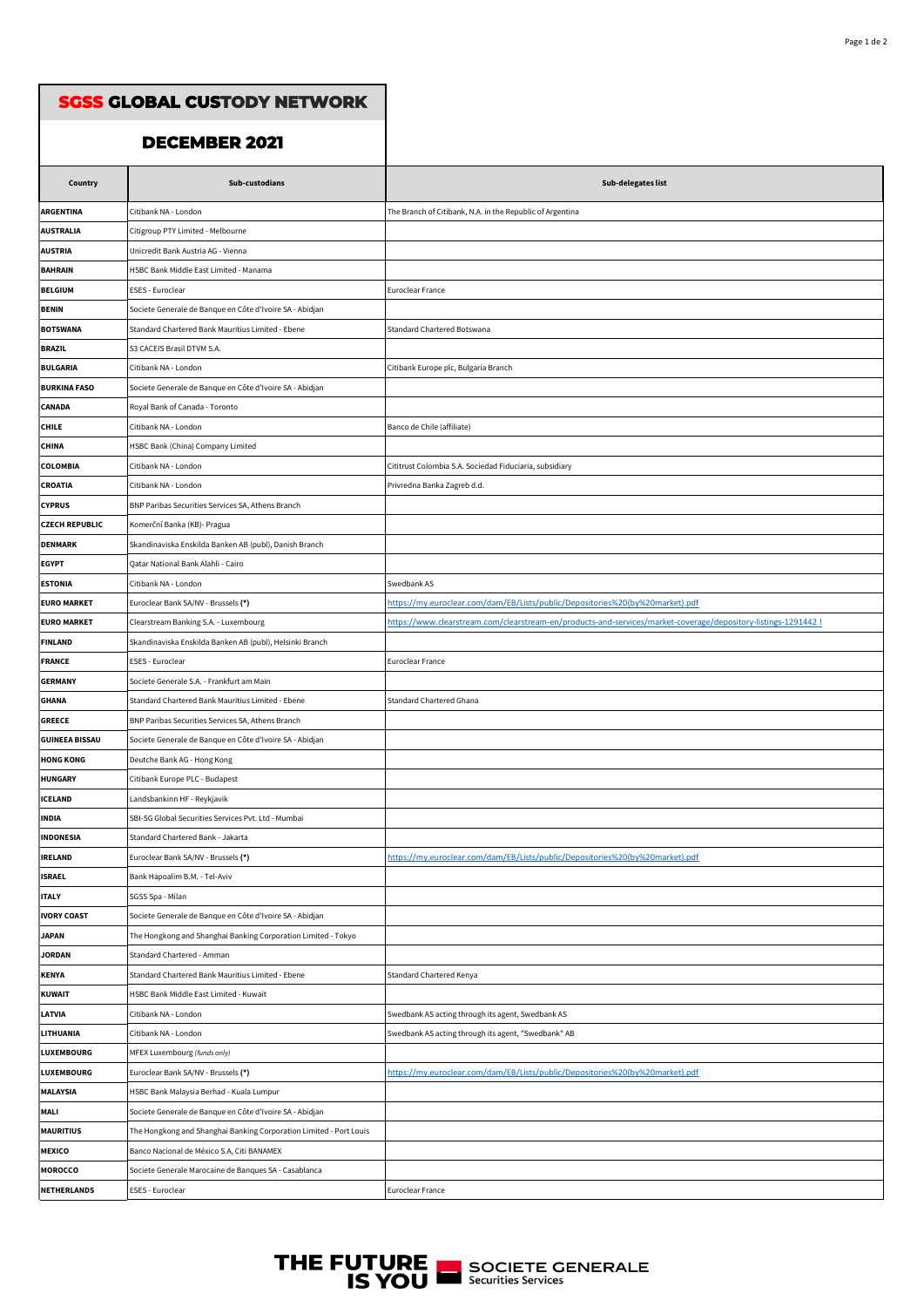| <b>SGSS GLOBAL CUSTODY NETWORK</b> |                                                                    |                                                                                                                |
|------------------------------------|--------------------------------------------------------------------|----------------------------------------------------------------------------------------------------------------|
|                                    | <b>DECEMBER 2021</b>                                               |                                                                                                                |
|                                    |                                                                    |                                                                                                                |
| Country                            | Sub-custodians                                                     | Sub-delegates list                                                                                             |
| <b>ARGENTINA</b>                   | Citibank NA - London                                               | The Branch of Citibank, N.A. in the Republic of Argentina                                                      |
| <b>AUSTRALIA</b>                   | Citigroup PTY Limited - Melbourne                                  |                                                                                                                |
| <b>AUSTRIA</b>                     | Unicredit Bank Austria AG - Vienna                                 |                                                                                                                |
| <b>BAHRAIN</b>                     | HSBC Bank Middle East Limited - Manama                             |                                                                                                                |
| <b>BELGIUM</b>                     | ESES - Euroclear                                                   | Euroclear France                                                                                               |
| <b>BENIN</b>                       | Societe Generale de Banque en Côte d'Ivoire SA - Abidjan           |                                                                                                                |
| <b>BOTSWANA</b>                    | Standard Chartered Bank Mauritius Limited - Ebene                  | Standard Chartered Botswana                                                                                    |
| <b>BRAZIL</b>                      | S3 CACEIS Brasil DTVM S.A.                                         |                                                                                                                |
| <b>BULGARIA</b>                    | Citibank NA - London                                               | Citibank Europe plc, Bulgaria Branch                                                                           |
| <b>BURKINA FASO</b>                | Societe Generale de Banque en Côte d'Ivoire SA - Abidjan           |                                                                                                                |
| <b>CANADA</b>                      | Royal Bank of Canada - Toronto                                     |                                                                                                                |
| <b>CHILE</b>                       | Citibank NA - London                                               | Banco de Chile (affiliate)                                                                                     |
| <b>CHINA</b>                       | HSBC Bank (China) Company Limited                                  |                                                                                                                |
| <b>COLOMBIA</b>                    | Citibank NA - London                                               | Cititrust Colombia S.A. Sociedad Fiduciaria, subsidiary                                                        |
| <b>CROATIA</b>                     | Citibank NA - London                                               | Privredna Banka Zagreb d.d.                                                                                    |
| <b>CYPRUS</b>                      | BNP Paribas Securities Services SA, Athens Branch                  |                                                                                                                |
| <b>CZECH REPUBLIC</b>              | Komerční Banka (KB)- Pragua                                        |                                                                                                                |
| <b>DENMARK</b>                     | Skandinaviska Enskilda Banken AB (publ), Danish Branch             |                                                                                                                |
| <b>EGYPT</b>                       | Qatar National Bank Alahli - Cairo                                 |                                                                                                                |
| <b>ESTONIA</b>                     | Citibank NA - London                                               | Swedbank AS                                                                                                    |
| <b>EURO MARKET</b>                 | Euroclear Bank SA/NV - Brussels (*)                                | https://my.euroclear.com/dam/EB/Lists/public/Depositories%20(by%20market).pdf                                  |
| <b>EURO MARKET</b>                 | Clearstream Banking S.A. - Luxembourg                              | https://www.clearstream.com/clearstream-en/products-and-services/market-coverage/depository-listings-1291442 ! |
| <b>FINLAND</b>                     | Skandinaviska Enskilda Banken AB (publ), Helsinki Branch           |                                                                                                                |
| <b>FRANCE</b>                      | ESES - Euroclear                                                   | <b>Euroclear France</b>                                                                                        |
| <b>GERMANY</b>                     | Societe Generale S.A. - Frankfurt am Main                          |                                                                                                                |
| <b>GHANA</b>                       | Standard Chartered Bank Mauritius Limited - Ebene                  | <b>Standard Chartered Ghana</b>                                                                                |
| <b>GREECE</b>                      | BNP Paribas Securities Services SA, Athens Branch                  |                                                                                                                |
| <b>GUINEEA BISSAU</b>              | Societe Generale de Banque en Côte d'Ivoire SA - Abidjan           |                                                                                                                |
| <b>HONG KONG</b>                   | Deutche Bank AG - Hong Kong                                        |                                                                                                                |
| <b>HUNGARY</b>                     | Citibank Europe PLC - Budapest                                     |                                                                                                                |
| <b>ICELAND</b>                     | Landsbankinn HF - Reykjavik                                        |                                                                                                                |
| <b>INDIA</b>                       | SBI-SG Global Securities Services Pvt. Ltd - Mumbai                |                                                                                                                |
| <b>INDONESIA</b>                   | Standard Chartered Bank - Jakarta                                  |                                                                                                                |
| <b>IRELAND</b>                     | Euroclear Bank SA/NV - Brussels (*)                                | https://my.euroclear.com/dam/EB/Lists/public/Depositories%20(by%20market).pdf                                  |
| <b>ISRAEL</b>                      | Bank Hapoalim B.M. - Tel-Aviv                                      |                                                                                                                |
| <b>ITALY</b>                       | SGSS Spa - Milan                                                   |                                                                                                                |
| <b>IVORY COAST</b>                 | Societe Generale de Banque en Côte d'Ivoire SA - Abidjan           |                                                                                                                |
| <b>JAPAN</b>                       | The Hongkong and Shanghai Banking Corporation Limited - Tokyo      |                                                                                                                |
| <b>JORDAN</b>                      | Standard Chartered - Amman                                         |                                                                                                                |
| <b>KENYA</b>                       | Standard Chartered Bank Mauritius Limited - Ebene                  | Standard Chartered Kenya                                                                                       |
| <b>KUWAIT</b>                      | HSBC Bank Middle East Limited - Kuwait                             |                                                                                                                |
| <b>LATVIA</b>                      | Citibank NA - London                                               | Swedbank AS acting through its agent, Swedbank AS                                                              |
| LITHUANIA                          | Citibank NA - London                                               | Swedbank AS acting through its agent, "Swedbank" AB                                                            |
| <b>LUXEMBOURG</b>                  | MFEX Luxembourg (funds only)                                       |                                                                                                                |
| LUXEMBOURG                         | Euroclear Bank SA/NV - Brussels (*)                                | https://my.euroclear.com/dam/EB/Lists/public/Depositories%20(by%20market).pdf                                  |
| <b>MALAYSIA</b>                    | HSBC Bank Malaysia Berhad - Kuala Lumpur                           |                                                                                                                |
| MALI                               | Societe Generale de Banque en Côte d'Ivoire SA - Abidjan           |                                                                                                                |
| <b>MAURITIUS</b>                   | The Hongkong and Shanghai Banking Corporation Limited - Port Louis |                                                                                                                |
| MEXICO                             | Banco Nacional de México S.A, Citi BANAMEX                         |                                                                                                                |
| <b>MOROCCO</b>                     | Societe Generale Marocaine de Banques SA - Casablanca              |                                                                                                                |
| <b>NETHERLANDS</b>                 | ESES - Euroclear                                                   | Euroclear France                                                                                               |